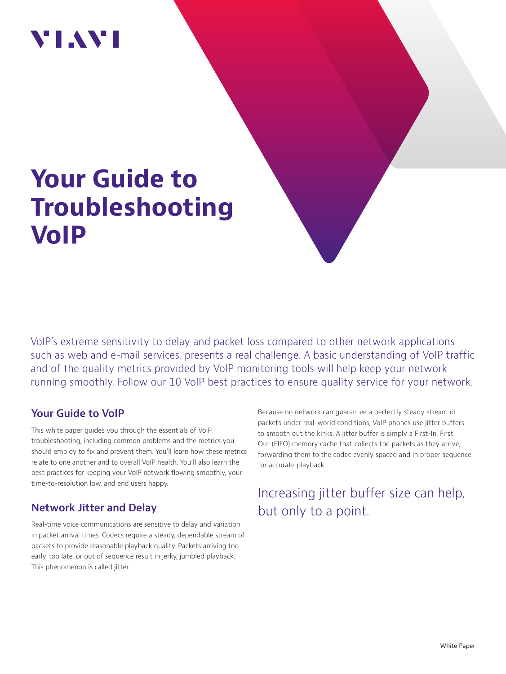# VI.WI

# **Your Guide to Troubleshooting VoIP**

VoIP's extreme sensitivity to delay and packet loss compared to other network applications such as web and e-mail services, presents a real challenge. A basic understanding of VoIP traffic and of the quality metrics provided by VoIP monitoring tools will help keep your network running smoothly. Follow our 10 VoIP best practices to ensure quality service for your network.

### **Your Guide to VoIP**

This white paper guides you through the essentials of VoIP troubleshooting, including common problems and the metrics you should employ to fix and prevent them. You'll learn how these metrics relate to one another and to overall VoIP health. You'll also learn the best practices for keeping your VoIP network flowing smoothly, your time-to-resolution low, and end users happy.

# **Network Jitter and Delay**

Real-time voice communications are sensitive to delay and variation in packet arrival times. Codecs require a steady, dependable stream of packets to provide reasonable playback quality. Packets arriving too early, too late, or out of sequence result in jerky, jumbled playback. This phenomenon is called jitter.

Because no network can guarantee a perfectly steady stream of packets under real-world conditions, VoIP phones use jitter buffers to smooth out the kinks. A jitter buffer is simply a First-In, First Out (FIFO) memory cache that collects the packets as they arrive, forwarding them to the codec evenly spaced and in proper sequence for accurate playback.

# Increasing jitter buffer size can help, but only to a point.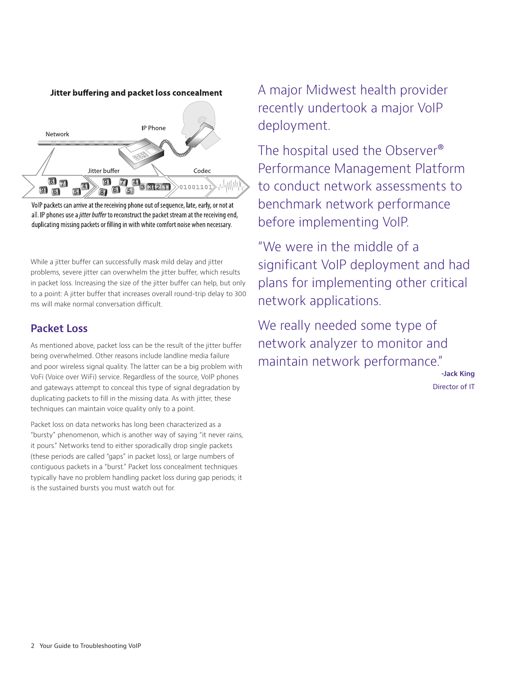Jitter buffering and packet loss concealment



VoIP packets can arrive at the receiving phone out of sequence, late, early, or not at all. IP phones use a *jitter buffer* to reconstruct the packet stream at the receiving end, duplicating missing packets or filling in with white comfort noise when necessary.

While a jitter buffer can successfully mask mild delay and jitter problems, severe jitter can overwhelm the jitter buffer, which results in packet loss. Increasing the size of the jitter buffer can help, but only to a point: A jitter buffer that increases overall round-trip delay to 300 ms will make normal conversation difficult.

### **Packet Loss**

As mentioned above, packet loss can be the result of the jitter buffer being overwhelmed. Other reasons include landline media failure and poor wireless signal quality. The latter can be a big problem with VoFi (Voice over WiFi) service. Regardless of the source, VoIP phones and gateways attempt to conceal this type of signal degradation by duplicating packets to fill in the missing data. As with jitter, these techniques can maintain voice quality only to a point.

Packet loss on data networks has long been characterized as a "bursty" phenomenon, which is another way of saying "it never rains, it pours." Networks tend to either sporadically drop single packets (these periods are called "gaps" in packet loss), or large numbers of contiguous packets in a "burst." Packet loss concealment techniques typically have no problem handling packet loss during gap periods; it is the sustained bursts you must watch out for.

A major Midwest health provider recently undertook a major VoIP deployment.

The hospital used the Observer® Performance Management Platform to conduct network assessments to benchmark network performance before implementing VoIP.

"We were in the middle of a significant VoIP deployment and had plans for implementing other critical network applications.

We really needed some type of network analyzer to monitor and maintain network performance."

> **-Jack King** Director of IT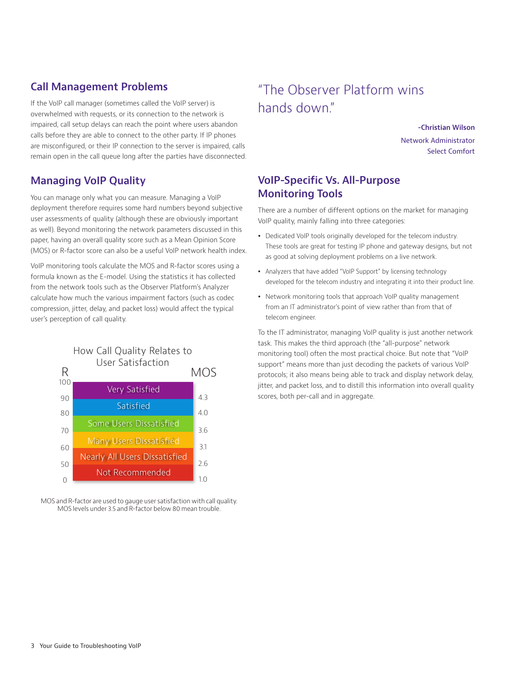# **Call Management Problems**

If the VoIP call manager (sometimes called the VoIP server) is overwhelmed with requests, or its connection to the network is impaired, call setup delays can reach the point where users abandon calls before they are able to connect to the other party. If IP phones are misconfigured, or their IP connection to the server is impaired, calls remain open in the call queue long after the parties have disconnected.

# **Managing VoIP Quality**

You can manage only what you can measure. Managing a VoIP deployment therefore requires some hard numbers beyond subjective user assessments of quality (although these are obviously important as well). Beyond monitoring the network parameters discussed in this paper, having an overall quality score such as a Mean Opinion Score (MOS) or R-factor score can also be a useful VoIP network health index.

VoIP monitoring tools calculate the MOS and R-factor scores using a formula known as the E-model. Using the statistics it has collected from the network tools such as the Observer Platform's Analyzer calculate how much the various impairment factors (such as codec compression, jitter, delay, and packet loss) would affect the typical user's perception of call quality.



MOS and R-factor are used to gauge user satisfaction with call quality. MOS levels under 3.5 and R-factor below 80 mean trouble.

# "The Observer Platform wins hands down."

**-Christian Wilson** Network Administrator Select Comfort

## **VoIP-Specific Vs. All-Purpose Monitoring Tools**

There are a number of different options on the market for managing VoIP quality, mainly falling into three categories:

- Dedicated VoIP tools originally developed for the telecom industry. These tools are great for testing IP phone and gateway designs, but not as good at solving deployment problems on a live network.
- Analyzers that have added "VoIP Support" by licensing technology developed for the telecom industry and integrating it into their product line.
- Network monitoring tools that approach VoIP quality management from an IT administrator's point of view rather than from that of telecom engineer.

To the IT administrator, managing VoIP quality is just another network task. This makes the third approach (the "all-purpose" network monitoring tool) often the most practical choice. But note that "VoIP support" means more than just decoding the packets of various VoIP protocols; it also means being able to track and display network delay, jitter, and packet loss, and to distill this information into overall quality scores, both per-call and in aggregate.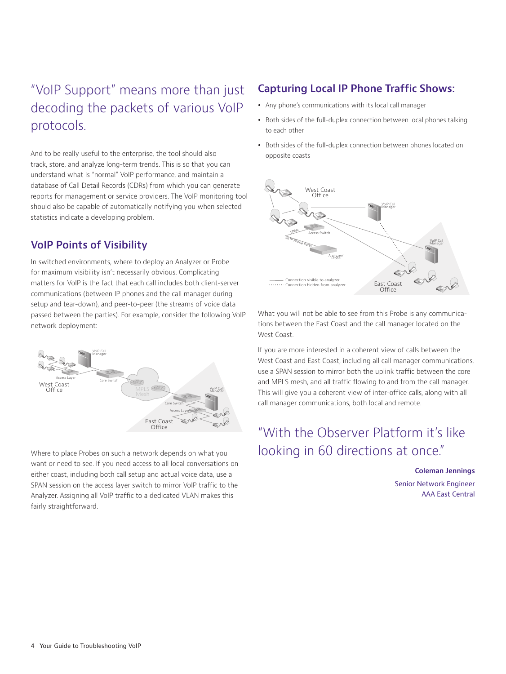# "VoIP Support" means more than just decoding the packets of various VoIP protocols.

And to be really useful to the enterprise, the tool should also track, store, and analyze long-term trends. This is so that you can understand what is "normal" VoIP performance, and maintain a database of Call Detail Records (CDRs) from which you can generate reports for management or service providers. The VoIP monitoring tool should also be capable of automatically notifying you when selected statistics indicate a developing problem.

## **VoIP Points of Visibility**

In switched environments, where to deploy an Analyzer or Probe for maximum visibility isn't necessarily obvious. Complicating matters for VoIP is the fact that each call includes both client-server communications (between IP phones and the call manager during setup and tear-down), and peer-to-peer (the streams of voice data passed between the parties). For example, consider the following VoIP network deployment:



Where to place Probes on such a network depends on what you want or need to see. If you need access to all local conversations on either coast, including both call setup and actual voice data, use a SPAN session on the access layer switch to mirror VoIP traffic to the Analyzer. Assigning all VoIP traffic to a dedicated VLAN makes this fairly straightforward.

# **Capturing Local IP Phone Traffic Shows:**

- Any phone's communications with its local call manager
- Both sides of the full-duplex connection between local phones talking to each other
- Both sides of the full-duplex connection between phones located on opposite coasts



What you will not be able to see from this Probe is any communications between the East Coast and the call manager located on the West Coast.

If you are more interested in a coherent view of calls between the West Coast and East Coast, including all call manager communications, use a SPAN session to mirror both the uplink traffic between the core and MPLS mesh, and all traffic flowing to and from the call manager. This will give you a coherent view of inter-office calls, along with all call manager communications, both local and remote.

# "With the Observer Platform it's like looking in 60 directions at once."

**Coleman Jennings** Senior Network Engineer AAA East Central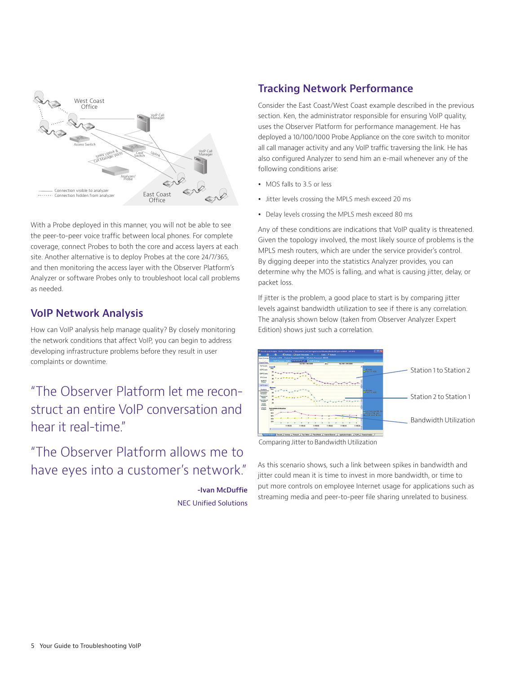

With a Probe deployed in this manner, you will not be able to see the peer-to-peer voice traffic between local phones. For complete coverage, connect Probes to both the core and access layers at each site. Another alternative is to deploy Probes at the core 24/7/365, and then monitoring the access layer with the Observer Platform's Analyzer or software Probes only to troubleshoot local call problems as needed.

## **VoIP Network Analysis**

How can VoIP analysis help manage quality? By closely monitoring the network conditions that affect VoIP, you can begin to address developing infrastructure problems before they result in user complaints or downtime.

"The Observer Platform let me reconstruct an entire VoIP conversation and hear it real-time"

# "The Observer Platform allows me to have eyes into a customer's network."

**-Ivan McDuffie** NEC Unified Solutions

## **Tracking Network Performance**

Consider the East Coast/West Coast example described in the previous section. Ken, the administrator responsible for ensuring VoIP quality, uses the Observer Platform for performance management. He has deployed a 10/100/1000 Probe Appliance on the core switch to monitor all call manager activity and any VoIP traffic traversing the link. He has also configured Analyzer to send him an e-mail whenever any of the following conditions arise:

- MOS falls to 3.5 or less
- Jitter levels crossing the MPLS mesh exceed 20 ms
- Delay levels crossing the MPLS mesh exceed 80 ms

Any of these conditions are indications that VoIP quality is threatened. Given the topology involved, the most likely source of problems is the MPLS mesh routers, which are under the service provider's control. By digging deeper into the statistics Analyzer provides, you can determine why the MOS is falling, and what is causing jitter, delay, or packet loss.

If jitter is the problem, a good place to start is by comparing jitter levels against bandwidth utilization to see if there is any correlation. The analysis shown below (taken from Observer Analyzer Expert Edition) shows just such a correlation.



Comparing Jitter to Bandwidth Utilization

As this scenario shows, such a link between spikes in bandwidth and jitter could mean it is time to invest in more bandwidth, or time to put more controls on employee Internet usage for applications such as streaming media and peer-to-peer file sharing unrelated to business.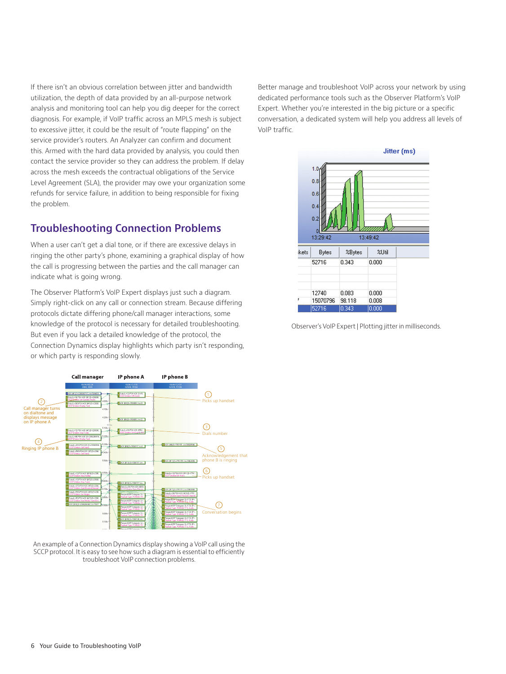If there isn't an obvious correlation between jitter and bandwidth utilization, the depth of data provided by an all-purpose network analysis and monitoring tool can help you dig deeper for the correct diagnosis. For example, if VoIP traffic across an MPLS mesh is subject to excessive jitter, it could be the result of "route flapping" on the service provider's routers. An Analyzer can confirm and document this. Armed with the hard data provided by analysis, you could then contact the service provider so they can address the problem. If delay across the mesh exceeds the contractual obligations of the Service Level Agreement (SLA), the provider may owe your organization some refunds for service failure, in addition to being responsible for fixing the problem.

## **Troubleshooting Connection Problems**

When a user can't get a dial tone, or if there are excessive delays in ringing the other party's phone, examining a graphical display of how the call is progressing between the parties and the call manager can indicate what is going wrong.

The Observer Platform's VoIP Expert displays just such a diagram. Simply right-click on any call or connection stream. Because differing protocols dictate differing phone/call manager interactions, some knowledge of the protocol is necessary for detailed troubleshooting. But even if you lack a detailed knowledge of the protocol, the Connection Dynamics display highlights which party isn't responding, or which party is responding slowly.



An example of a Connection Dynamics display showing a VoIP call using the SCCP protocol. It is easy to see how such a diagram is essential to efficiently troubleshoot VoIP connection problems.

Better manage and troubleshoot VoIP across your network by using dedicated performance tools such as the Observer Platform's VoIP Expert. Whether you're interested in the big picture or a specific conversation, a dedicated system will help you address all levels of VoIP traffic.



Observer's VoIP Expert | Plotting jitter in milliseconds.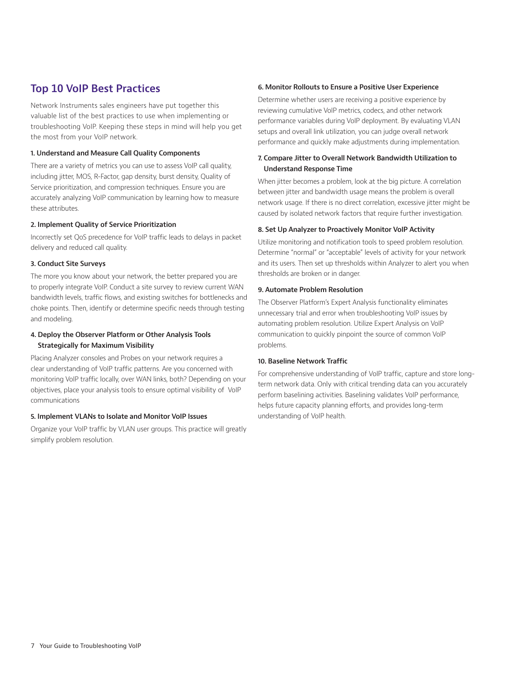## **Top 10 VoIP Best Practices**

Network Instruments sales engineers have put together this valuable list of the best practices to use when implementing or troubleshooting VoIP. Keeping these steps in mind will help you get the most from your VoIP network.

#### **1. Understand and Measure Call Quality Components**

There are a variety of metrics you can use to assess VoIP call quality, including jitter, MOS, R-Factor, gap density, burst density, Quality of Service prioritization, and compression techniques. Ensure you are accurately analyzing VoIP communication by learning how to measure these attributes.

#### **2. Implement Quality of Service Prioritization**

Incorrectly set QoS precedence for VoIP traffic leads to delays in packet delivery and reduced call quality.

#### **3. Conduct Site Surveys**

The more you know about your network, the better prepared you are to properly integrate VoIP. Conduct a site survey to review current WAN bandwidth levels, traffic flows, and existing switches for bottlenecks and choke points. Then, identify or determine specific needs through testing and modeling.

#### **4. Deploy the Observer Platform or Other Analysis Tools Strategically for Maximum Visibility**

Placing Analyzer consoles and Probes on your network requires a clear understanding of VoIP traffic patterns. Are you concerned with monitoring VoIP traffic locally, over WAN links, both? Depending on your objectives, place your analysis tools to ensure optimal visibility of VoIP communications

#### **5. Implement VLANs to Isolate and Monitor VoIP Issues**

Organize your VoIP traffic by VLAN user groups. This practice will greatly simplify problem resolution.

#### **6. Monitor Rollouts to Ensure a Positive User Experience**

Determine whether users are receiving a positive experience by reviewing cumulative VoIP metrics, codecs, and other network performance variables during VoIP deployment. By evaluating VLAN setups and overall link utilization, you can judge overall network performance and quickly make adjustments during implementation.

#### **7. Compare Jitter to Overall Network Bandwidth Utilization to Understand Response Time**

When jitter becomes a problem, look at the big picture. A correlation between jitter and bandwidth usage means the problem is overall network usage. If there is no direct correlation, excessive jitter might be caused by isolated network factors that require further investigation.

#### **8. Set Up Analyzer to Proactively Monitor VoIP Activity**

Utilize monitoring and notification tools to speed problem resolution. Determine "normal" or "acceptable" levels of activity for your network and its users. Then set up thresholds within Analyzer to alert you when thresholds are broken or in danger.

#### **9. Automate Problem Resolution**

The Observer Platform's Expert Analysis functionality eliminates unnecessary trial and error when troubleshooting VoIP issues by automating problem resolution. Utilize Expert Analysis on VoIP communication to quickly pinpoint the source of common VoIP problems.

#### **10. Baseline Network Traffic**

For comprehensive understanding of VoIP traffic, capture and store longterm network data. Only with critical trending data can you accurately perform baselining activities. Baselining validates VoIP performance, helps future capacity planning efforts, and provides long-term understanding of VoIP health.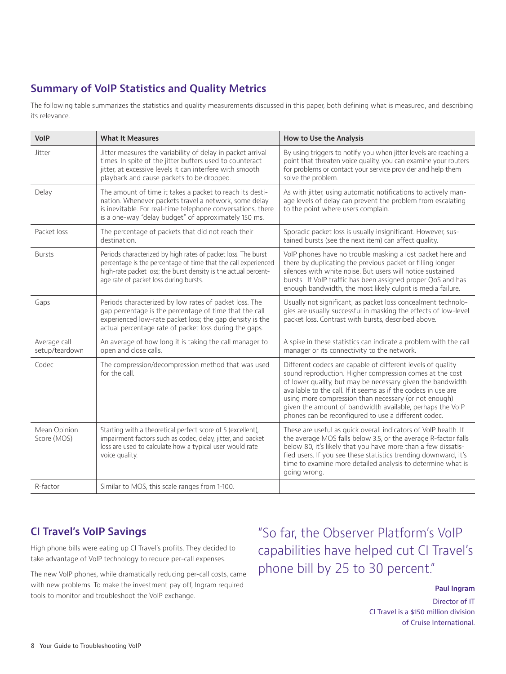# **Summary of VoIP Statistics and Quality Metrics**

The following table summarizes the statistics and quality measurements discussed in this paper, both defining what is measured, and describing its relevance.

| VoIP                           | <b>What It Measures</b>                                                                                                                                                                                                                      | How to Use the Analysis                                                                                                                                                                                                                                                                                                                                                                                                               |
|--------------------------------|----------------------------------------------------------------------------------------------------------------------------------------------------------------------------------------------------------------------------------------------|---------------------------------------------------------------------------------------------------------------------------------------------------------------------------------------------------------------------------------------------------------------------------------------------------------------------------------------------------------------------------------------------------------------------------------------|
| Jitter                         | Jitter measures the variability of delay in packet arrival<br>times. In spite of the jitter buffers used to counteract<br>jitter, at excessive levels it can interfere with smooth<br>playback and cause packets to be dropped.              | By using triggers to notify you when jitter levels are reaching a<br>point that threaten voice quality, you can examine your routers<br>for problems or contact your service provider and help them<br>solve the problem.                                                                                                                                                                                                             |
| Delay                          | The amount of time it takes a packet to reach its desti-<br>nation. Whenever packets travel a network, some delay<br>is inevitable. For real-time telephone conversations, there<br>is a one-way "delay budget" of approximately 150 ms.     | As with jitter, using automatic notifications to actively man-<br>age levels of delay can prevent the problem from escalating<br>to the point where users complain.                                                                                                                                                                                                                                                                   |
| Packet loss                    | The percentage of packets that did not reach their<br>destination.                                                                                                                                                                           | Sporadic packet loss is usually insignificant. However, sus-<br>tained bursts (see the next item) can affect quality.                                                                                                                                                                                                                                                                                                                 |
| <b>Bursts</b>                  | Periods characterized by high rates of packet loss. The burst<br>percentage is the percentage of time that the call experienced<br>high-rate packet loss; the burst density is the actual percent-<br>age rate of packet loss during bursts. | VoIP phones have no trouble masking a lost packet here and<br>there by duplicating the previous packet or filling longer<br>silences with white noise. But users will notice sustained<br>bursts. If VoIP traffic has been assigned proper QoS and has<br>enough bandwidth, the most likely culprit is media failure.                                                                                                                 |
| Gaps                           | Periods characterized by low rates of packet loss. The<br>gap percentage is the percentage of time that the call<br>experienced low-rate packet loss; the gap density is the<br>actual percentage rate of packet loss during the gaps.       | Usually not significant, as packet loss concealment technolo-<br>gies are usually successful in masking the effects of low-level<br>packet loss. Contrast with bursts, described above.                                                                                                                                                                                                                                               |
| Average call<br>setup/teardown | An average of how long it is taking the call manager to<br>open and close calls.                                                                                                                                                             | A spike in these statistics can indicate a problem with the call<br>manager or its connectivity to the network.                                                                                                                                                                                                                                                                                                                       |
| Codec                          | The compression/decompression method that was used<br>for the call.                                                                                                                                                                          | Different codecs are capable of different levels of quality<br>sound reproduction. Higher compression comes at the cost<br>of lower quality, but may be necessary given the bandwidth<br>available to the call. If it seems as if the codecs in use are<br>using more compression than necessary (or not enough)<br>given the amount of bandwidth available, perhaps the VoIP<br>phones can be reconfigured to use a different codec. |
| Mean Opinion<br>Score (MOS)    | Starting with a theoretical perfect score of 5 (excellent),<br>impairment factors such as codec, delay, jitter, and packet<br>loss are used to calculate how a typical user would rate<br>voice quality.                                     | These are useful as quick overall indicators of VoIP health. If<br>the average MOS falls below 3.5, or the average R-factor falls<br>below 80, it's likely that you have more than a few dissatis-<br>fied users. If you see these statistics trending downward, it's<br>time to examine more detailed analysis to determine what is<br>going wrong.                                                                                  |
| R-factor                       | Similar to MOS, this scale ranges from 1-100.                                                                                                                                                                                                |                                                                                                                                                                                                                                                                                                                                                                                                                                       |

# **CI Travel's VoIP Savings**

High phone bills were eating up CI Travel's profits. They decided to take advantage of VoIP technology to reduce per-call expenses.

The new VoIP phones, while dramatically reducing per-call costs, came with new problems. To make the investment pay off, Ingram required tools to monitor and troubleshoot the VoIP exchange.

"So far, the Observer Platform's VoIP capabilities have helped cut CI Travel's phone bill by 25 to 30 percent."

#### **Paul Ingram**

Director of IT CI Travel is a \$150 million division of Cruise International.